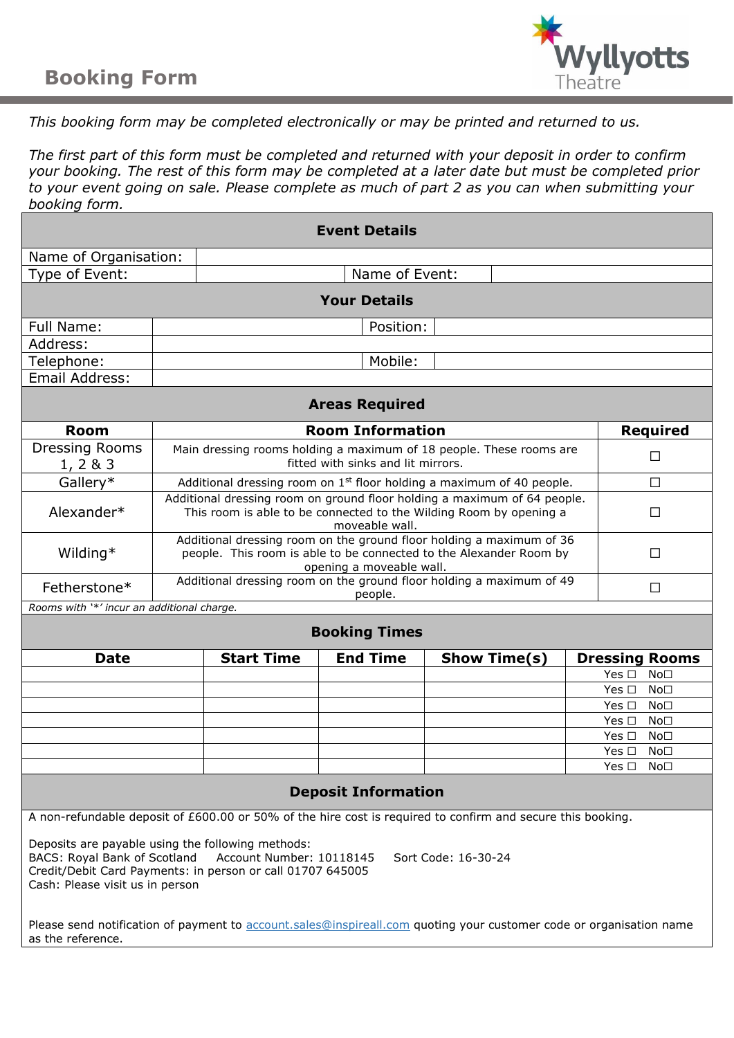# **Booking Form**



# *This booking form may be completed electronically or may be printed and returned to us.*

*The first part of this form must be completed and returned with your deposit in order to confirm your booking. The rest of this form may be completed at a later date but must be completed prior to your event going on sale. Please complete as much of part 2 as you can when submitting your booking form.*

| <b>Event Details</b>                       |                                                                                                                                                                             |                   |                 |                                  |   |                                                          |  |  |
|--------------------------------------------|-----------------------------------------------------------------------------------------------------------------------------------------------------------------------------|-------------------|-----------------|----------------------------------|---|----------------------------------------------------------|--|--|
| Name of Organisation:                      |                                                                                                                                                                             |                   |                 |                                  |   |                                                          |  |  |
| Type of Event:                             | Name of Event:                                                                                                                                                              |                   |                 |                                  |   |                                                          |  |  |
| <b>Your Details</b>                        |                                                                                                                                                                             |                   |                 |                                  |   |                                                          |  |  |
|                                            |                                                                                                                                                                             |                   |                 |                                  |   |                                                          |  |  |
| <b>Full Name:</b>                          | Position:                                                                                                                                                                   |                   |                 |                                  |   |                                                          |  |  |
| Address:                                   |                                                                                                                                                                             |                   |                 |                                  |   |                                                          |  |  |
| Telephone:                                 |                                                                                                                                                                             |                   | Mobile:         |                                  |   |                                                          |  |  |
| Email Address:                             |                                                                                                                                                                             |                   |                 |                                  |   |                                                          |  |  |
| <b>Areas Required</b>                      |                                                                                                                                                                             |                   |                 |                                  |   |                                                          |  |  |
| <b>Room</b>                                | <b>Room Information</b>                                                                                                                                                     |                   |                 |                                  |   | <b>Required</b>                                          |  |  |
| <b>Dressing Rooms</b>                      | Main dressing rooms holding a maximum of 18 people. These rooms are                                                                                                         |                   |                 |                                  |   | $\Box$                                                   |  |  |
| 1, 283                                     | fitted with sinks and lit mirrors.                                                                                                                                          |                   |                 |                                  |   |                                                          |  |  |
| Gallery*                                   | $\Box$<br>Additional dressing room on $1st$ floor holding a maximum of 40 people.                                                                                           |                   |                 |                                  |   |                                                          |  |  |
| Alexander*                                 | Additional dressing room on ground floor holding a maximum of 64 people.<br>This room is able to be connected to the Wilding Room by opening a<br>$\Box$<br>moveable wall.  |                   |                 |                                  |   |                                                          |  |  |
| Wilding*                                   | Additional dressing room on the ground floor holding a maximum of 36<br>people. This room is able to be connected to the Alexander Room by<br>П<br>opening a moveable wall. |                   |                 |                                  |   |                                                          |  |  |
| Fetherstone*                               | Additional dressing room on the ground floor holding a maximum of 49<br>people.                                                                                             |                   |                 |                                  | П |                                                          |  |  |
| Rooms with '*' incur an additional charge. |                                                                                                                                                                             |                   |                 |                                  |   |                                                          |  |  |
| <b>Booking Times</b>                       |                                                                                                                                                                             |                   |                 |                                  |   |                                                          |  |  |
| <b>Date</b>                                |                                                                                                                                                                             | <b>Start Time</b> | <b>End Time</b> | <b>Show Time(s)</b>              |   | <b>Dressing Rooms</b>                                    |  |  |
|                                            |                                                                                                                                                                             |                   |                 |                                  |   | Yes $\square$<br>No <sub>1</sub>                         |  |  |
|                                            |                                                                                                                                                                             |                   |                 |                                  |   | Yes $\square$<br>No <sub>1</sub>                         |  |  |
|                                            |                                                                                                                                                                             |                   |                 |                                  |   | Yes $\square$<br>No <sub>1</sub>                         |  |  |
|                                            |                                                                                                                                                                             |                   |                 | No <sub>1</sub><br>Yes $\Box$    |   |                                                          |  |  |
|                                            |                                                                                                                                                                             |                   |                 | Yes $\square$<br>No <sub>1</sub> |   |                                                          |  |  |
|                                            |                                                                                                                                                                             |                   |                 |                                  |   | Yes $\square$<br>No <sub>1</sub><br>Yes $\square$<br>No⊡ |  |  |
|                                            |                                                                                                                                                                             |                   |                 |                                  |   |                                                          |  |  |

# **Deposit Information**

A non-refundable deposit of £600.00 or 50% of the hire cost is required to confirm and secure this booking.

Deposits are payable using the following methods: BACS: Royal Bank of Scotland Account Number: 10118145 Sort Code: 16-30-24 Credit/Debit Card Payments: in person or call 01707 645005 Cash: Please visit us in person

Please send notification of payment to [account.sales@inspireall.com](mailto:accounts.sales@inspireall.com) quoting your customer code or organisation name as the reference.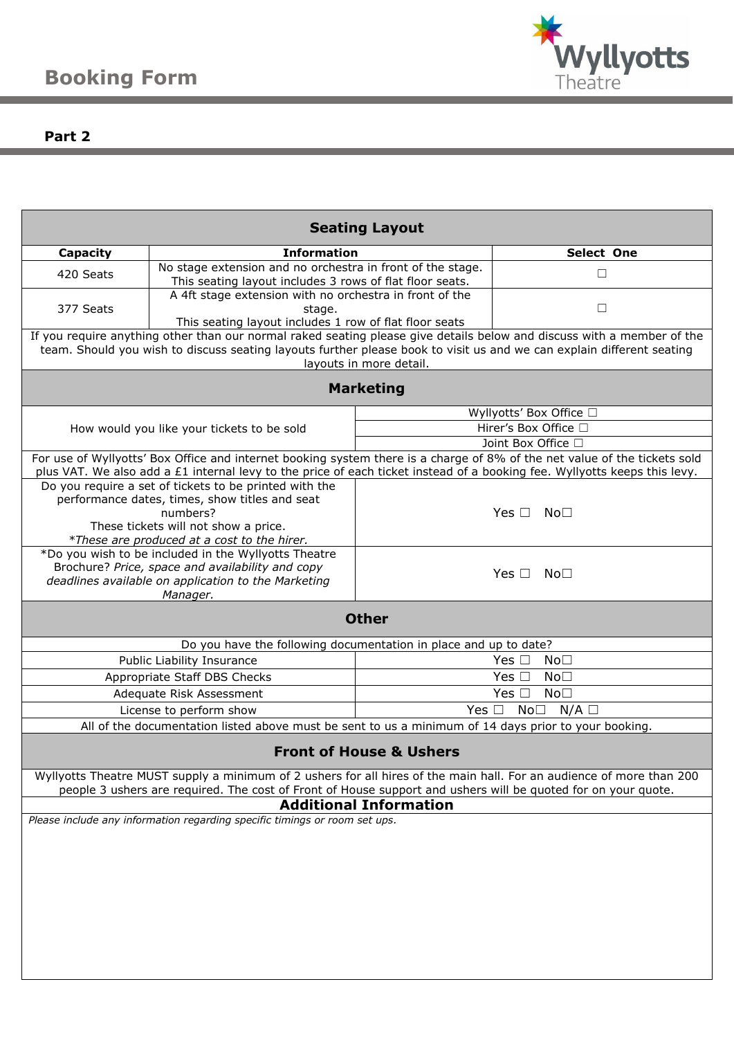

# **Part 2**

| <b>Seating Layout</b>                                                                                                                                                                                                                                                      |                                                                                                                             |                                                                                                      |                                                                                                                           |  |  |  |  |  |
|----------------------------------------------------------------------------------------------------------------------------------------------------------------------------------------------------------------------------------------------------------------------------|-----------------------------------------------------------------------------------------------------------------------------|------------------------------------------------------------------------------------------------------|---------------------------------------------------------------------------------------------------------------------------|--|--|--|--|--|
| <b>Capacity</b>                                                                                                                                                                                                                                                            | <b>Information</b>                                                                                                          |                                                                                                      | Select One                                                                                                                |  |  |  |  |  |
| 420 Seats                                                                                                                                                                                                                                                                  | No stage extension and no orchestra in front of the stage.<br>This seating layout includes 3 rows of flat floor seats.      |                                                                                                      | □                                                                                                                         |  |  |  |  |  |
| 377 Seats                                                                                                                                                                                                                                                                  | A 4ft stage extension with no orchestra in front of the<br>stage.<br>This seating layout includes 1 row of flat floor seats |                                                                                                      | $\Box$                                                                                                                    |  |  |  |  |  |
| If you require anything other than our normal raked seating please give details below and discuss with a member of the<br>team. Should you wish to discuss seating layouts further please book to visit us and we can explain different seating<br>layouts in more detail. |                                                                                                                             |                                                                                                      |                                                                                                                           |  |  |  |  |  |
| <b>Marketing</b>                                                                                                                                                                                                                                                           |                                                                                                                             |                                                                                                      |                                                                                                                           |  |  |  |  |  |
|                                                                                                                                                                                                                                                                            |                                                                                                                             | Wyllyotts' Box Office □                                                                              |                                                                                                                           |  |  |  |  |  |
|                                                                                                                                                                                                                                                                            | How would you like your tickets to be sold                                                                                  | Hirer's Box Office □                                                                                 |                                                                                                                           |  |  |  |  |  |
|                                                                                                                                                                                                                                                                            |                                                                                                                             | Joint Box Office □                                                                                   |                                                                                                                           |  |  |  |  |  |
|                                                                                                                                                                                                                                                                            |                                                                                                                             |                                                                                                      | For use of Wyllyotts' Box Office and internet booking system there is a charge of 8% of the net value of the tickets sold |  |  |  |  |  |
|                                                                                                                                                                                                                                                                            |                                                                                                                             |                                                                                                      | plus VAT. We also add a £1 internal levy to the price of each ticket instead of a booking fee. Wyllyotts keeps this levy. |  |  |  |  |  |
|                                                                                                                                                                                                                                                                            | Do you require a set of tickets to be printed with the                                                                      |                                                                                                      |                                                                                                                           |  |  |  |  |  |
|                                                                                                                                                                                                                                                                            | performance dates, times, show titles and seat<br>numbers?                                                                  |                                                                                                      | Yes $\Box$ No $\Box$                                                                                                      |  |  |  |  |  |
|                                                                                                                                                                                                                                                                            | These tickets will not show a price.                                                                                        |                                                                                                      |                                                                                                                           |  |  |  |  |  |
|                                                                                                                                                                                                                                                                            | *These are produced at a cost to the hirer.                                                                                 |                                                                                                      |                                                                                                                           |  |  |  |  |  |
|                                                                                                                                                                                                                                                                            | *Do you wish to be included in the Wyllyotts Theatre                                                                        |                                                                                                      |                                                                                                                           |  |  |  |  |  |
|                                                                                                                                                                                                                                                                            | Brochure? Price, space and availability and copy                                                                            | Yes $\square$ No $\square$                                                                           |                                                                                                                           |  |  |  |  |  |
|                                                                                                                                                                                                                                                                            | deadlines available on application to the Marketing                                                                         |                                                                                                      |                                                                                                                           |  |  |  |  |  |
|                                                                                                                                                                                                                                                                            | Manager.                                                                                                                    |                                                                                                      |                                                                                                                           |  |  |  |  |  |
|                                                                                                                                                                                                                                                                            |                                                                                                                             | <b>Other</b>                                                                                         |                                                                                                                           |  |  |  |  |  |
|                                                                                                                                                                                                                                                                            | Do you have the following documentation in place and up to date?                                                            |                                                                                                      |                                                                                                                           |  |  |  |  |  |
|                                                                                                                                                                                                                                                                            | Public Liability Insurance                                                                                                  | Yes $\square$<br>No <sub>1</sub>                                                                     |                                                                                                                           |  |  |  |  |  |
|                                                                                                                                                                                                                                                                            | Appropriate Staff DBS Checks                                                                                                | Yes $\Box$<br>No <sub>1</sub>                                                                        |                                                                                                                           |  |  |  |  |  |
|                                                                                                                                                                                                                                                                            | Adequate Risk Assessment                                                                                                    | Yes $\Box$<br>No <sub>1</sub>                                                                        |                                                                                                                           |  |  |  |  |  |
|                                                                                                                                                                                                                                                                            | License to perform show                                                                                                     | $No\square$ N/A $\square$<br>Yes $\Box$                                                              |                                                                                                                           |  |  |  |  |  |
|                                                                                                                                                                                                                                                                            |                                                                                                                             | All of the documentation listed above must be sent to us a minimum of 14 days prior to your booking. |                                                                                                                           |  |  |  |  |  |
|                                                                                                                                                                                                                                                                            |                                                                                                                             |                                                                                                      |                                                                                                                           |  |  |  |  |  |
|                                                                                                                                                                                                                                                                            |                                                                                                                             | <b>Front of House &amp; Ushers</b>                                                                   |                                                                                                                           |  |  |  |  |  |
|                                                                                                                                                                                                                                                                            |                                                                                                                             |                                                                                                      | Wyllyotts Theatre MUST supply a minimum of 2 ushers for all hires of the main hall. For an audience of more than 200      |  |  |  |  |  |
|                                                                                                                                                                                                                                                                            | people 3 ushers are required. The cost of Front of House support and ushers will be quoted for on your quote.               |                                                                                                      |                                                                                                                           |  |  |  |  |  |
| <b>Additional Information</b>                                                                                                                                                                                                                                              |                                                                                                                             |                                                                                                      |                                                                                                                           |  |  |  |  |  |
| Please include any information regarding specific timings or room set ups.                                                                                                                                                                                                 |                                                                                                                             |                                                                                                      |                                                                                                                           |  |  |  |  |  |
|                                                                                                                                                                                                                                                                            |                                                                                                                             |                                                                                                      |                                                                                                                           |  |  |  |  |  |
|                                                                                                                                                                                                                                                                            |                                                                                                                             |                                                                                                      |                                                                                                                           |  |  |  |  |  |
|                                                                                                                                                                                                                                                                            |                                                                                                                             |                                                                                                      |                                                                                                                           |  |  |  |  |  |
|                                                                                                                                                                                                                                                                            |                                                                                                                             |                                                                                                      |                                                                                                                           |  |  |  |  |  |
|                                                                                                                                                                                                                                                                            |                                                                                                                             |                                                                                                      |                                                                                                                           |  |  |  |  |  |
|                                                                                                                                                                                                                                                                            |                                                                                                                             |                                                                                                      |                                                                                                                           |  |  |  |  |  |
|                                                                                                                                                                                                                                                                            |                                                                                                                             |                                                                                                      |                                                                                                                           |  |  |  |  |  |
|                                                                                                                                                                                                                                                                            |                                                                                                                             |                                                                                                      |                                                                                                                           |  |  |  |  |  |
|                                                                                                                                                                                                                                                                            |                                                                                                                             |                                                                                                      |                                                                                                                           |  |  |  |  |  |
|                                                                                                                                                                                                                                                                            |                                                                                                                             |                                                                                                      |                                                                                                                           |  |  |  |  |  |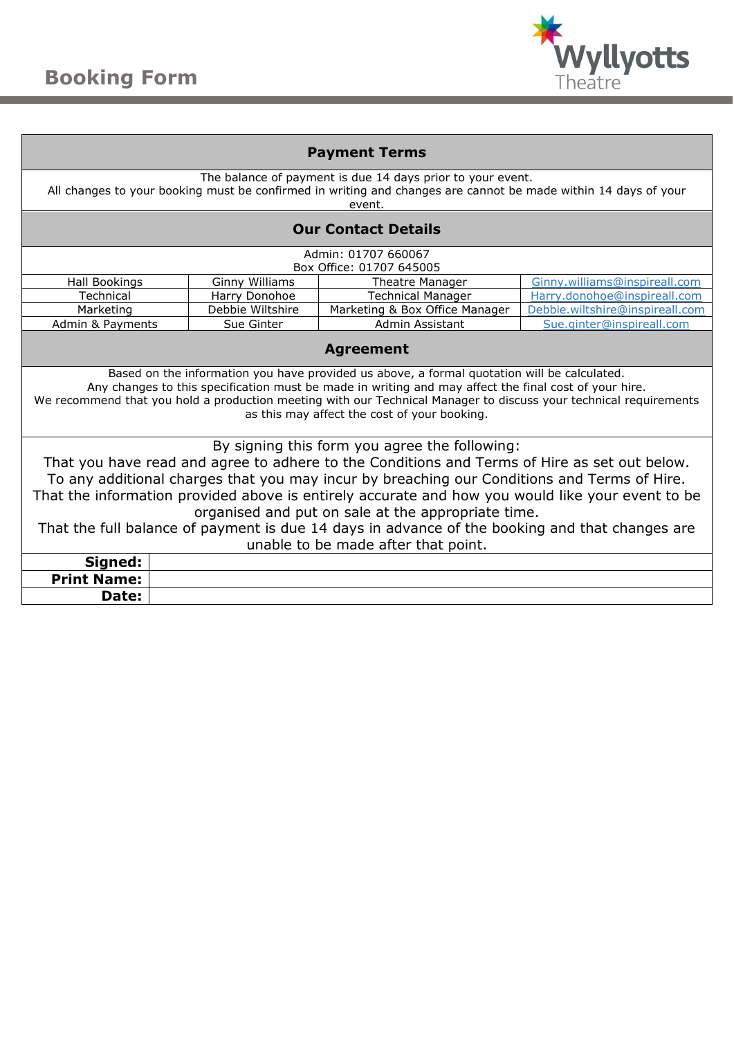

| <b>Payment Terms</b>                                                                                                                                                                                                                                                                                                                                                                                                                                                                                                                            |                       |                                |                                 |  |  |  |  |
|-------------------------------------------------------------------------------------------------------------------------------------------------------------------------------------------------------------------------------------------------------------------------------------------------------------------------------------------------------------------------------------------------------------------------------------------------------------------------------------------------------------------------------------------------|-----------------------|--------------------------------|---------------------------------|--|--|--|--|
| The balance of payment is due 14 days prior to your event.<br>All changes to your booking must be confirmed in writing and changes are cannot be made within 14 days of your<br>event.                                                                                                                                                                                                                                                                                                                                                          |                       |                                |                                 |  |  |  |  |
| <b>Our Contact Details</b>                                                                                                                                                                                                                                                                                                                                                                                                                                                                                                                      |                       |                                |                                 |  |  |  |  |
| Admin: 01707 660067                                                                                                                                                                                                                                                                                                                                                                                                                                                                                                                             |                       |                                |                                 |  |  |  |  |
|                                                                                                                                                                                                                                                                                                                                                                                                                                                                                                                                                 |                       | Box Office: 01707 645005       |                                 |  |  |  |  |
| Hall Bookings                                                                                                                                                                                                                                                                                                                                                                                                                                                                                                                                   | <b>Ginny Williams</b> | Theatre Manager                | Ginny.williams@inspireall.com   |  |  |  |  |
| Technical                                                                                                                                                                                                                                                                                                                                                                                                                                                                                                                                       | Harry Donohoe         | <b>Technical Manager</b>       | Harry.donohoe@inspireall.com    |  |  |  |  |
| Marketing                                                                                                                                                                                                                                                                                                                                                                                                                                                                                                                                       | Debbie Wiltshire      | Marketing & Box Office Manager | Debbie.wiltshire@inspireall.com |  |  |  |  |
| Admin & Payments                                                                                                                                                                                                                                                                                                                                                                                                                                                                                                                                | Sue Ginter            | Admin Assistant                | Sue.ginter@inspireall.com       |  |  |  |  |
| <b>Agreement</b>                                                                                                                                                                                                                                                                                                                                                                                                                                                                                                                                |                       |                                |                                 |  |  |  |  |
| Based on the information you have provided us above, a formal quotation will be calculated.<br>Any changes to this specification must be made in writing and may affect the final cost of your hire.<br>We recommend that you hold a production meeting with our Technical Manager to discuss your technical requirements<br>as this may affect the cost of your booking.                                                                                                                                                                       |                       |                                |                                 |  |  |  |  |
| By signing this form you agree the following:<br>That you have read and agree to adhere to the Conditions and Terms of Hire as set out below.<br>To any additional charges that you may incur by breaching our Conditions and Terms of Hire.<br>That the information provided above is entirely accurate and how you would like your event to be<br>organised and put on sale at the appropriate time.<br>That the full balance of payment is due 14 days in advance of the booking and that changes are<br>unable to be made after that point. |                       |                                |                                 |  |  |  |  |
| Signed:                                                                                                                                                                                                                                                                                                                                                                                                                                                                                                                                         |                       |                                |                                 |  |  |  |  |
| <b>Print Name:</b>                                                                                                                                                                                                                                                                                                                                                                                                                                                                                                                              |                       |                                |                                 |  |  |  |  |
| Date:                                                                                                                                                                                                                                                                                                                                                                                                                                                                                                                                           |                       |                                |                                 |  |  |  |  |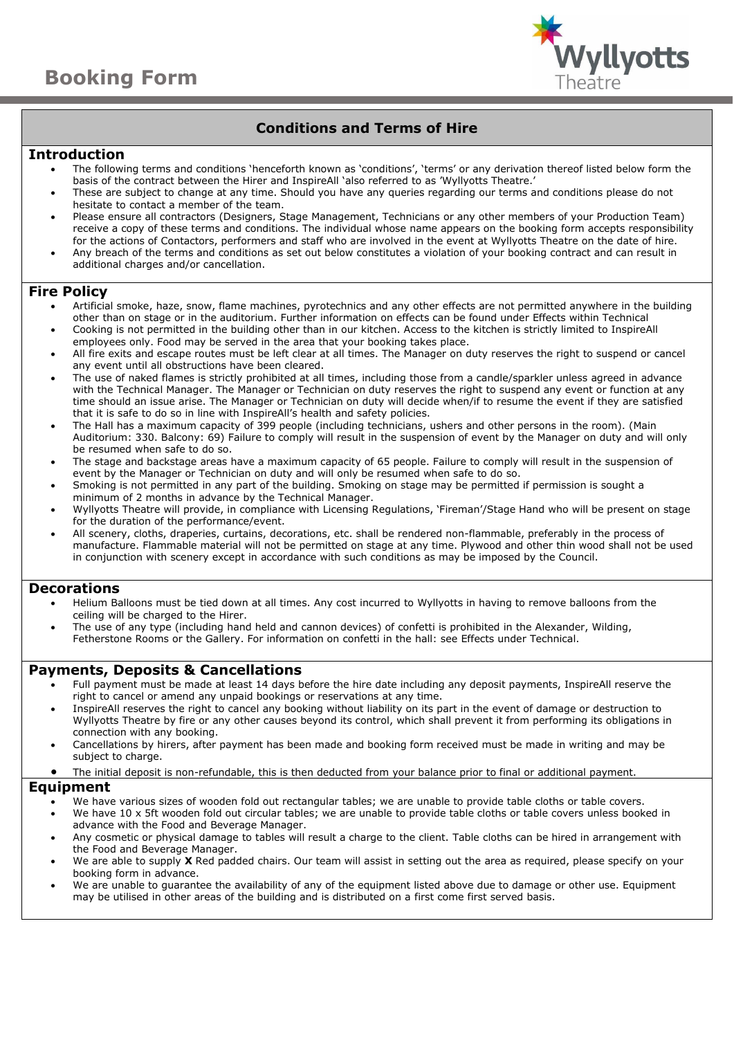

# **Conditions and Terms of Hire**

### **Introduction**

- The following terms and conditions 'henceforth known as 'conditions', 'terms' or any derivation thereof listed below form the basis of the contract between the Hirer and InspireAll 'also referred to as 'Wyllyotts Theatre.'
- These are subject to change at any time. Should you have any queries regarding our terms and conditions please do not hesitate to contact a member of the team.
- Please ensure all contractors (Designers, Stage Management, Technicians or any other members of your Production Team) receive a copy of these terms and conditions. The individual whose name appears on the booking form accepts responsibility for the actions of Contactors, performers and staff who are involved in the event at Wyllyotts Theatre on the date of hire.
- Any breach of the terms and conditions as set out below constitutes a violation of your booking contract and can result in additional charges and/or cancellation.

# **Fire Policy**

- Artificial smoke, haze, snow, flame machines, pyrotechnics and any other effects are not permitted anywhere in the building other than on stage or in the auditorium. Further information on effects can be found under Effects within Technical
- Cooking is not permitted in the building other than in our kitchen. Access to the kitchen is strictly limited to InspireAll employees only. Food may be served in the area that your booking takes place.
- All fire exits and escape routes must be left clear at all times. The Manager on duty reserves the right to suspend or cancel any event until all obstructions have been cleared.
- The use of naked flames is strictly prohibited at all times, including those from a candle/sparkler unless agreed in advance with the Technical Manager. The Manager or Technician on duty reserves the right to suspend any event or function at any time should an issue arise. The Manager or Technician on duty will decide when/if to resume the event if they are satisfied that it is safe to do so in line with InspireAll's health and safety policies.
- The Hall has a maximum capacity of 399 people (including technicians, ushers and other persons in the room). (Main Auditorium: 330. Balcony: 69) Failure to comply will result in the suspension of event by the Manager on duty and will only be resumed when safe to do so.
- The stage and backstage areas have a maximum capacity of 65 people. Failure to comply will result in the suspension of event by the Manager or Technician on duty and will only be resumed when safe to do so.
- Smoking is not permitted in any part of the building. Smoking on stage may be permitted if permission is sought a minimum of 2 months in advance by the Technical Manager.
- Wyllyotts Theatre will provide, in compliance with Licensing Regulations, 'Fireman'/Stage Hand who will be present on stage for the duration of the performance/event.
- All scenery, cloths, draperies, curtains, decorations, etc. shall be rendered non-flammable, preferably in the process of manufacture. Flammable material will not be permitted on stage at any time. Plywood and other thin wood shall not be used in conjunction with scenery except in accordance with such conditions as may be imposed by the Council.

# **Decorations**

- Helium Balloons must be tied down at all times. Any cost incurred to Wyllyotts in having to remove balloons from the ceiling will be charged to the Hirer.
- The use of any type (including hand held and cannon devices) of confetti is prohibited in the Alexander, Wilding, Fetherstone Rooms or the Gallery. For information on confetti in the hall: see Effects under Technical.

# **Payments, Deposits & Cancellations**

- Full payment must be made at least 14 days before the hire date including any deposit payments, InspireAll reserve the right to cancel or amend any unpaid bookings or reservations at any time.
- InspireAll reserves the right to cancel any booking without liability on its part in the event of damage or destruction to Wyllyotts Theatre by fire or any other causes beyond its control, which shall prevent it from performing its obligations in connection with any booking.
- Cancellations by hirers, after payment has been made and booking form received must be made in writing and may be subject to charge.
- The initial deposit is non-refundable, this is then deducted from your balance prior to final or additional payment.

# **Equipment**

- We have various sizes of wooden fold out rectangular tables; we are unable to provide table cloths or table covers.
- We have 10 x 5ft wooden fold out circular tables; we are unable to provide table cloths or table covers unless booked in advance with the Food and Beverage Manager.
- Any cosmetic or physical damage to tables will result a charge to the client. Table cloths can be hired in arrangement with the Food and Beverage Manager.
- We are able to supply **X** Red padded chairs. Our team will assist in setting out the area as required, please specify on your booking form in advance.
- We are unable to guarantee the availability of any of the equipment listed above due to damage or other use. Equipment may be utilised in other areas of the building and is distributed on a first come first served basis.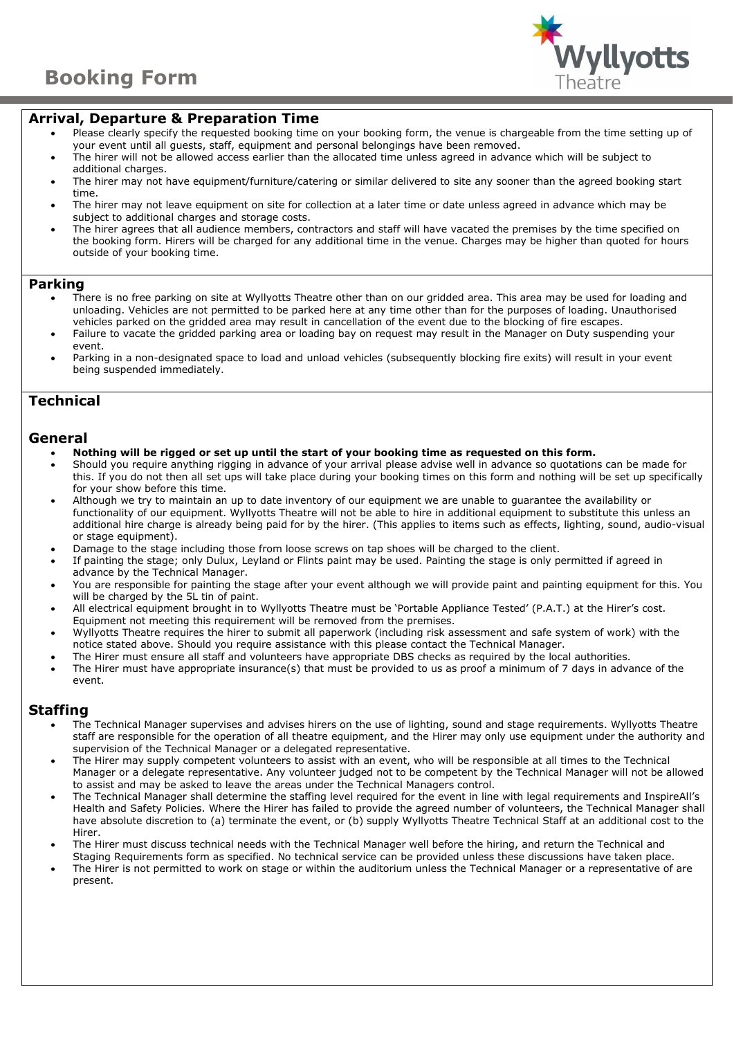

# **Arrival, Departure & Preparation Time**

- Please clearly specify the requested booking time on your booking form, the venue is chargeable from the time setting up of your event until all guests, staff, equipment and personal belongings have been removed.
- The hirer will not be allowed access earlier than the allocated time unless agreed in advance which will be subject to additional charges.
- The hirer may not have equipment/furniture/catering or similar delivered to site any sooner than the agreed booking start time.
- The hirer may not leave equipment on site for collection at a later time or date unless agreed in advance which may be subject to additional charges and storage costs.
- The hirer agrees that all audience members, contractors and staff will have vacated the premises by the time specified on the booking form. Hirers will be charged for any additional time in the venue. Charges may be higher than quoted for hours outside of your booking time.

#### **Parking**

- There is no free parking on site at Wyllyotts Theatre other than on our gridded area. This area may be used for loading and unloading. Vehicles are not permitted to be parked here at any time other than for the purposes of loading. Unauthorised vehicles parked on the gridded area may result in cancellation of the event due to the blocking of fire escapes.
- Failure to vacate the gridded parking area or loading bay on request may result in the Manager on Duty suspending your event.
- Parking in a non-designated space to load and unload vehicles (subsequently blocking fire exits) will result in your event being suspended immediately.

# **Technical**

#### **General**

- **Nothing will be rigged or set up until the start of your booking time as requested on this form.**
- Should you require anything rigging in advance of your arrival please advise well in advance so quotations can be made for this. If you do not then all set ups will take place during your booking times on this form and nothing will be set up specifically for your show before this time.
- Although we try to maintain an up to date inventory of our equipment we are unable to guarantee the availability or functionality of our equipment. Wyllyotts Theatre will not be able to hire in additional equipment to substitute this unless an additional hire charge is already being paid for by the hirer. (This applies to items such as effects, lighting, sound, audio-visual or stage equipment).
- Damage to the stage including those from loose screws on tap shoes will be charged to the client.
- If painting the stage; only Dulux, Leyland or Flints paint may be used. Painting the stage is only permitted if agreed in advance by the Technical Manager.
- You are responsible for painting the stage after your event although we will provide paint and painting equipment for this. You will be charged by the 5L tin of paint.
- All electrical equipment brought in to Wyllyotts Theatre must be 'Portable Appliance Tested' (P.A.T.) at the Hirer's cost. Equipment not meeting this requirement will be removed from the premises.
- Wyllyotts Theatre requires the hirer to submit all paperwork (including risk assessment and safe system of work) with the notice stated above. Should you require assistance with this please contact the Technical Manager.
- The Hirer must ensure all staff and volunteers have appropriate DBS checks as required by the local authorities.
- The Hirer must have appropriate insurance(s) that must be provided to us as proof a minimum of 7 days in advance of the event.

# **Staffing**

- The Technical Manager supervises and advises hirers on the use of lighting, sound and stage requirements. Wyllyotts Theatre staff are responsible for the operation of all theatre equipment, and the Hirer may only use equipment under the authority and supervision of the Technical Manager or a delegated representative.
- The Hirer may supply competent volunteers to assist with an event, who will be responsible at all times to the Technical Manager or a delegate representative. Any volunteer judged not to be competent by the Technical Manager will not be allowed to assist and may be asked to leave the areas under the Technical Managers control.
- The Technical Manager shall determine the staffing level required for the event in line with legal requirements and InspireAll's Health and Safety Policies. Where the Hirer has failed to provide the agreed number of volunteers, the Technical Manager shall have absolute discretion to (a) terminate the event, or (b) supply Wyllyotts Theatre Technical Staff at an additional cost to the Hirer.
- The Hirer must discuss technical needs with the Technical Manager well before the hiring, and return the Technical and Staging Requirements form as specified. No technical service can be provided unless these discussions have taken place.
- The Hirer is not permitted to work on stage or within the auditorium unless the Technical Manager or a representative of are present.